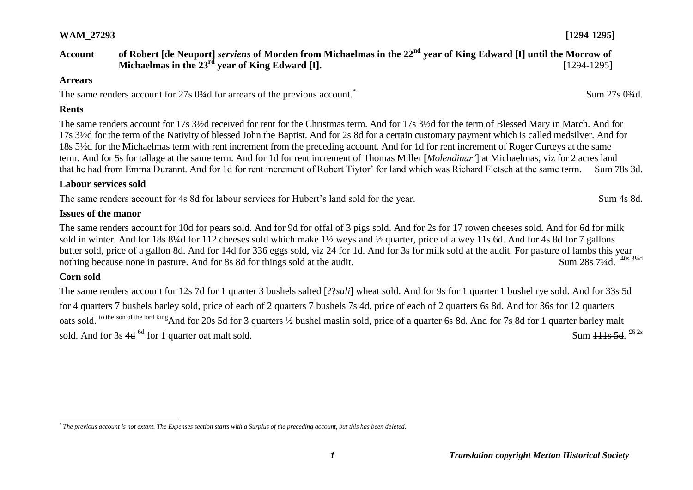## **Account of Robert [de Neuport]** *serviens* **of Morden from Michaelmas in the 22nd year of King Edward [I] until the Morrow of Michaelmas in the 23<sup>rd</sup> vear of King Edward [I].** [1294-1295]

#### **Arrears**

The same renders account for 27s 0<sup>3</sup>/<sub>4</sub>d for arrears of the previous account.<sup>\*</sup>

#### **Rents**

The same renders account for 17s 3½d received for rent for the Christmas term. And for 17s 3½d for the term of Blessed Mary in March. And for 17s 3½d for the term of the Nativity of blessed John the Baptist. And for 2s 8d for a certain customary payment which is called medsilver. And for 18s 5½d for the Michaelmas term with rent increment from the preceding account. And for 1d for rent increment of Roger Curteys at the same term. And for 5s for tallage at the same term. And for 1d for rent increment of Thomas Miller [*Molendinar'*] at Michaelmas, viz for 2 acres land that he had from Emma Durannt. And for 1d for rent increment of Robert Tiytor' for land which was Richard Fletsch at the same term. Sum 78s 3d.

#### **Labour services sold**

The same renders account for 4s 8d for labour services for Hubert's land sold for the year. Sum 4s 8d.

#### **Issues of the manor**

The same renders account for 10d for pears sold. And for 9d for offal of 3 pigs sold. And for 2s for 17 rowen cheeses sold. And for 6d for milk sold in winter. And for 18s 8¼d for 112 cheeses sold which make 1½ weys and ½ quarter, price of a wey 11s 6d. And for 4s 8d for 7 gallons butter sold, price of a gallon 8d. And for 14d for 336 eggs sold, viz 24 for 1d. And for 3s for milk sold at the audit. For pasture of lambs this year nothing because none in pasture. And for 8s 8d for things sold at the audit. Sum 28s 71/4d 40s 31/4d

#### **Corn sold**

 $\overline{a}$ 

The same renders account for 12s 7d for 1 quarter 3 bushels salted [??*sali*] wheat sold. And for 9s for 1 quarter 1 bushel rye sold. And for 33s 5d for 4 quarters 7 bushels barley sold, price of each of 2 quarters 7 bushels 7s 4d, price of each of 2 quarters 6s 8d. And for 36s for 12 quarters oats sold. <sup>to the son of the lord king</sup> And for 20s 5d for 3 quarters <sup>1</sup>/2 bushel maslin sold, price of a quarter 6s 8d. And for 7s 8d for 1 quarter barley malt sold. And for  $3s$  4d  $^{6d}$  for 1 quarter oat malt sold. Sum 111s 5d.  $62s$ 

Sum 27s 0¾d.

*<sup>\*</sup> The previous account is not extant. The Expenses section starts with a Surplus of the preceding account, but this has been deleted.*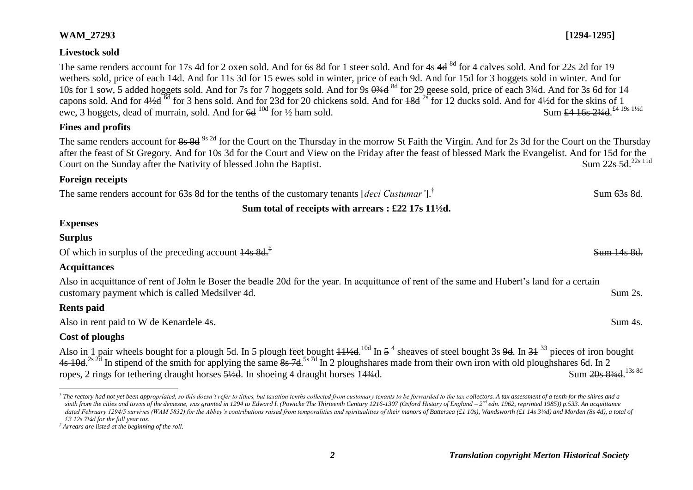## **Livestock sold**

The same renders account for 17s 4d for 2 oxen sold. And for 6s 8d for 1 steer sold. And for 4s 4d <sup>8d</sup> for 4 calves sold. And for 22s 2d for 19 wethers sold, price of each 14d. And for 11s 3d for 15 ewes sold in winter, price of each 9d. And for 15d for 3 hoggets sold in winter. And for 10s for 1 sow, 5 added hoggets sold. And for 7s for 7 hoggets sold. And for 9s  $\frac{93}{4}$ d  $\frac{8d}{4}$  for 29 geese sold, price of each 3¼d. And for 3s 6d for 14 capons sold. And for 4½d <sup>6d</sup> for 3 hens sold. And for 23d for 20 chickens sold. And for <del>18d</del> <sup>2s</sup> for 12 ducks sold. And for 4½d for the skins of 1 ewe, 3 hoggets, dead of murrain, sold. And for  $6d^{10d}$  for  $\frac{1}{2}$  ham sold. Sum £4 16s 23/4d £4 19s 11/2d

## **Fines and profits**

The same renders account for 8s 8d <sup>9s 2d</sup> for the Court on the Thursday in the morrow St Faith the Virgin. And for 2s 3d for the Court on the Thursday after the feast of St Gregory. And for 10s 3d for the Court and View on the Friday after the feast of blessed Mark the Evangelist. And for 15d for the Court on the Sunday after the Nativity of blessed John the Baptist. Sum 22s 5d.<sup>22s 11d</sup>

## **Foreign receipts**

The same renders account for 63s 8d for the tenths of the customary tenants [*deci Custumar'*].† Sum 63s 8d.

## **Sum total of receipts with arrears : £22 17s 11½d.**

## **Expenses**

## **Surplus**

Of which in surplus of the preceding account  $\frac{14s}{14s}$  8d.<sup>‡</sup>

## **Acquittances**

Also in acquittance of rent of John le Boser the beadle 20d for the year. In acquittance of rent of the same and Hubert's land for a certain customary payment which is called Medsilver 4d. Sum 2s. Sum 2s.

## **Rents paid**

Also in rent paid to W de Kenardele 4s. Sum 4s.

## **Cost of ploughs**

Also in 1 pair wheels bought for a plough 5d. In 5 plough feet bought  $11\frac{1}{4}$ d.<sup>10d</sup> In 5<sup>4</sup> sheaves of steel bought 3s <del>9d</del>. In 31<sup>33</sup> pieces of iron bought 4s 10d.<sup>2s 2d</sup> In stipend of the smith for applying the same  $\frac{8s}{6}$  7d  $\frac{5s}{6}$  In 2 ploughshares made from their own iron with old ploughshares 6d. In 2 ropes, 2 rings for tethering draught horses  $\frac{5\frac{1}{2}d}{1}$ . In shoeing 4 draught horses 14 $\frac{3}{4}d$ . Sum 20s 834d 13s 8d

Sum 14s 8d.

 $\overline{a}$  $^\dagger$  The rectory had not yet been appropriated, so this doesn't refer to tithes, but taxation tenths collected from customary tenants to be forwarded to the tax collectors. A tax assessment of a tenth for the shires and sixth from the cities and towns of the demesne, was granted in 1294 to Edward I. (Powicke The Thirteenth Century 1216-1307 (Oxford History of England - 2<sup>nd</sup> edn. 1962, reprinted 1985)) p.533. An acquittance dated February 1294/5 survives (WAM 5832) for the Abbey's contributions raised from temporalities and spiritualities of their manors of Battersea (£1 10s), Wandsworth (£1 14s 3¼d) and Morden (8s 4d), a total of *£3 12s 7¼d for the full year tax.*

*<sup>‡</sup> Arrears are listed at the beginning of the roll.*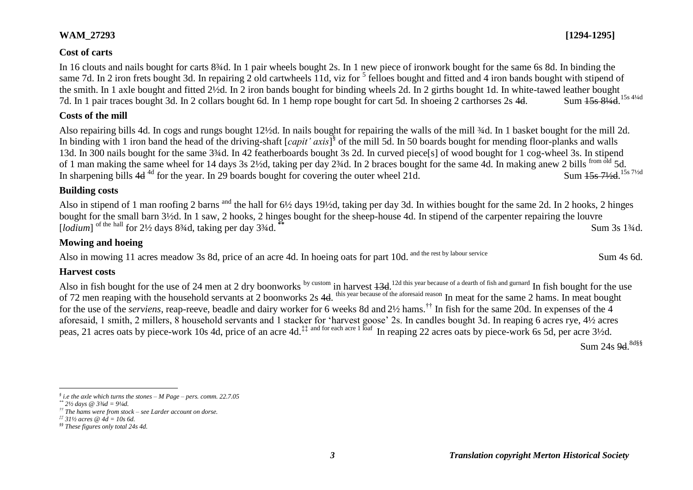#### **Cost of carts**

In 16 clouts and nails bought for carts 8¼d. In 1 pair wheels bought 2s. In 1 new piece of ironwork bought for the same 6s 8d. In binding the same 7d. In 2 iron frets bought 3d. In repairing 2 old cartwheels 11d, viz for <sup>5</sup> felloes bought and fitted and 4 iron bands bought with stipend of the smith. In 1 axle bought and fitted 2½d. In 2 iron bands bought for binding wheels 2d. In 2 girths bought 1d. In white-tawed leather bought 7d. In 1 pair traces bought 3d. In 2 collars bought 6d. In 1 hemp rope bought for cart 5d. In shoeing 2 carthorses 2s 4d. Sum 15s 814d 15s 41/4d

#### **Costs of the mill**

Also repairing bills 4d. In cogs and rungs bought 12½d. In nails bought for repairing the walls of the mill ¾d. In 1 basket bought for the mill 2d. In binding with 1 iron band the head of the driving-shaft [*capit' axis*] § of the mill 5d. In 50 boards bought for mending floor-planks and walls 13d. In 300 nails bought for the same 3¾d. In 42 featherboards bought 3s 2d. In curved piece[s] of wood bought for 1 cog-wheel 3s. In stipend of 1 man making the same wheel for 14 days 3s 2½d, taking per day 2¾d. In 2 braces bought for the same 4d. In making anew 2 bills from old 5d. In sharpening bills  $4d^{4d}$  for the year. In 29 boards bought for covering the outer wheel 21d. Sum 15s 71/<sub>2d</sub> 15s 7<sup>1</sup>/<sub>2d</sub>

### **Building costs**

Also in stipend of 1 man roofing 2 barns and the hall for 6½ days 19½d, taking per day 3d. In withies bought for the same 2d. In 2 hooks, 2 hinges bought for the small barn 3½d. In 1 saw, 2 hooks, 2 hinges bought for the sheep-house 4d. In stipend of the carpenter repairing the louvre For the hall for 2<sup>1</sup>/<sub>2</sub> days 8<sup>3</sup>/<sub>4</sub>d, taking per day 3<sup>3</sup>/<sub>4d</sub>. **\*\*** Sum 3s 1<sup>3</sup>/<sub>4d</sub>. Sum 3s 1<sup>3</sup>/<sub>4d</sub>.

### **Mowing and hoeing**

Also in mowing 11 acres meadow 3s 8d, price of an acre 4d. In hoeing oats for part 10d. and the rest by labour service Sum 4s 6d.

#### **Harvest costs**

Also in fish bought for the use of 24 men at 2 dry boonworks by custom in harvest  $13d$ . <sup>12d this year because of a dearth of fish and gurnard</sup> In fish bought for the use of 72 men reaping with the household servants at 2 boonworks 2s 4d. <sup>this year because of the aforesaid reason</sup> In meat for the same 2 hams. In meat bought for the use of the *serviens*, reap-reeve, beadle and dairy worker for 6 weeks 8d and 2½ hams.†† In fish for the same 20d. In expenses of the 4 aforesaid, 1 smith, 2 millers, 8 household servants and 1 stacker for 'harvest goose' 2s. In candles bought 3d. In reaping 6 acres rye, 4½ acres peas, 21 acres oats by piece-work 10s 4d, price of an acre 4d.<sup>‡‡ and for each acre 1 loaf</sup> In reaping 22 acres oats by piece-work 6s 5d, per acre 3½d.

Sum 24s <del>9d</del>.<sup>8d§§</sup>

 $\overline{a}$ 



*<sup>§</sup> i.e the axle which turns the stones – M Page – pers. comm. 22.7.05*

*<sup>\*\*</sup> 2½ days @ 3¾d = 9¼d.*

*<sup>††</sup> The hams were from stock – see Larder account on dorse.*

*<sup>‡‡</sup> 31½ acres @ 4d = 10s 6d.*

*<sup>§§</sup> These figures only total 24s 4d.*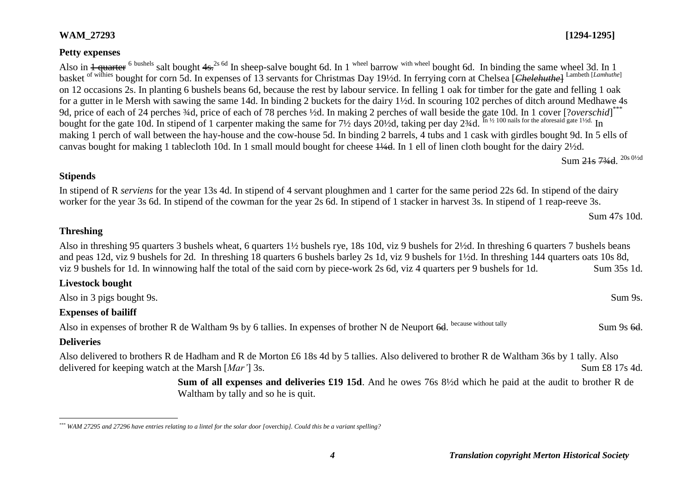#### **Petty expenses**

Also in  $\frac{1}{2}$  quarter <sup>6 bushels</sup> salt bought  $4s$ <sup>2s 6d</sup> In sheep-salve bought 6d. In 1<sup> wheel</sup> barrow <sup>with wheel</sup> bought 6d. In binding the same wheel 3d. In 1 basket <sup>of withies</sup> bought for corn 5d. In expenses of 13 servants for Christmas Day 19½d. In ferrying corn at Chelsea [*Chelehuthe*] <sup>Lambeth [*Lamhuthe*]</sup> on 12 occasions 2s. In planting 6 bushels beans 6d, because the rest by labour service. In felling 1 oak for timber for the gate and felling 1 oak for a gutter in le Mersh with sawing the same 14d. In binding 2 buckets for the dairy 1½d. In scouring 102 perches of ditch around Medhawe 4s 9d, price of each of 24 perches 3/4d, price of each of 78 perches 1/2d. In making 2 perches of wall beside the gate 10d. In 1 cover [?*overschid*]\*\*\* bought for the gate 10d. In stipend of 1 carpenter making the same for 7½ days 20½d, taking per day 2¾d. In <sup>11</sup>/<sub>2</sub> 100 nails for the aforesaid gate 1½d. In making 1 perch of wall between the hay-house and the cow-house 5d. In binding 2 barrels, 4 tubs and 1 cask with girdles bought 9d. In 5 ells of canvas bought for making 1 tablecloth 10d. In 1 small mould bought for cheese 1¼d. In 1 ell of linen cloth bought for the dairy 2½d.

Sum <del>21s 73⁄4d</del>. <sup>20s 0½d</sup>

#### **Stipends**

In stipend of R *serviens* for the year 13s 4d. In stipend of 4 servant ploughmen and 1 carter for the same period 22s 6d. In stipend of the dairy worker for the year 3s 6d. In stipend of the cowman for the year 2s 6d. In stipend of 1 stacker in harvest 3s. In stipend of 1 reap-reeve 3s.

Sum 47s 10d.

## **Threshing**

Also in threshing 95 quarters 3 bushels wheat, 6 quarters 1½ bushels rye, 18s 10d, viz 9 bushels for 2½d. In threshing 6 quarters 7 bushels beans and peas 12d, viz 9 bushels for 2d. In threshing 18 quarters 6 bushels barley 2s 1d, viz 9 bushels for 1½d. In threshing 144 quarters oats 10s 8d, viz 9 bushels for 1d. In winnowing half the total of the said corn by piece-work 2s 6d, viz 4 quarters per 9 bushels for 1d. Sum 35s 1d.

| <b>Livestock bought</b> |  |
|-------------------------|--|
|-------------------------|--|

Also in 3 pigs bought 9s. Sum 9s.

#### **Expenses of bailiff**

Also in expenses of brother R de Waltham 9s by 6 tallies. In expenses of brother N de Neuport 6d. because without tally Sum 9s 6d.

#### **Deliveries**

Also delivered to brothers R de Hadham and R de Morton £6 18s 4d by 5 tallies. Also delivered to brother R de Waltham 36s by 1 tally. Also delivered for keeping watch at the Marsh [*Mar'*] 3s. Sum £8 17s 4d.

> **Sum of all expenses and deliveries £19 15d**. And he owes 76s 8½d which he paid at the audit to brother R de Waltham by tally and so he is quit.

 $\overline{a}$ *\*\*\* WAM 27295 and 27296 have entries relating to a lintel for the solar door [*overchip*]. Could this be a variant spelling?*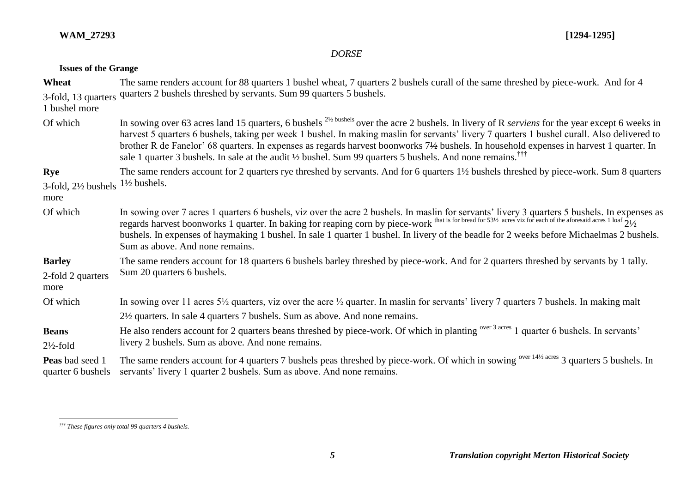## *DORSE*

### **Issues of the Grange**

| Wheat                                            | The same renders account for 88 quarters 1 bushel wheat, 7 quarters 2 bushels curall of the same threshed by piece-work. And for 4                                                                                                                                                                                                                                                                                                                                                                                                                                                                |  |
|--------------------------------------------------|---------------------------------------------------------------------------------------------------------------------------------------------------------------------------------------------------------------------------------------------------------------------------------------------------------------------------------------------------------------------------------------------------------------------------------------------------------------------------------------------------------------------------------------------------------------------------------------------------|--|
| 3-fold, 13 quarters<br>1 bushel more             | quarters 2 bushels threshed by servants. Sum 99 quarters 5 bushels.                                                                                                                                                                                                                                                                                                                                                                                                                                                                                                                               |  |
| Of which                                         | In sowing over 63 acres land 15 quarters, $6$ bushels <sup>21/2 bushels</sup> over the acre 2 bushels. In livery of R <i>serviens</i> for the year except 6 weeks in<br>harvest 5 quarters 6 bushels, taking per week 1 bushel. In making maslin for servants' livery 7 quarters 1 bushel curall. Also delivered to<br>brother R de Fanelor' 68 quarters. In expenses as regards harvest boonworks 7½ bushels. In household expenses in harvest 1 quarter. In<br>sale 1 quarter 3 bushels. In sale at the audit $\frac{1}{2}$ bushel. Sum 99 quarters 5 bushels. And none remains. <sup>TTT</sup> |  |
| Rye<br>$3$ -fold, $2\frac{1}{2}$ bushels<br>more | The same renders account for 2 quarters rye threshed by servants. And for 6 quarters 1½ bushels threshed by piece-work. Sum 8 quarters<br>$1\frac{1}{2}$ bushels.                                                                                                                                                                                                                                                                                                                                                                                                                                 |  |
| Of which                                         | In sowing over 7 acres 1 quarters 6 bushels, viz over the acre 2 bushels. In maslin for servants' livery 3 quarters 5 bushels. In expenses as regards harvest boonworks 1 quarter. In baking for reaping corn by piece-work t<br>bushels. In expenses of haymaking 1 bushel. In sale 1 quarter 1 bushel. In livery of the beadle for 2 weeks before Michaelmas 2 bushels.<br>Sum as above. And none remains.                                                                                                                                                                                      |  |
| <b>Barley</b><br>2-fold 2 quarters<br>more       | The same renders account for 18 quarters 6 bushels barley threshed by piece-work. And for 2 quarters threshed by servants by 1 tally.<br>Sum 20 quarters 6 bushels.                                                                                                                                                                                                                                                                                                                                                                                                                               |  |
| Of which                                         | In sowing over 11 acres $5\frac{1}{2}$ quarters, viz over the acre $\frac{1}{2}$ quarter. In maslin for servants' livery 7 quarters 7 bushels. In making malt                                                                                                                                                                                                                                                                                                                                                                                                                                     |  |
|                                                  | $2\frac{1}{2}$ quarters. In sale 4 quarters 7 bushels. Sum as above. And none remains.                                                                                                                                                                                                                                                                                                                                                                                                                                                                                                            |  |
| <b>Beans</b><br>$2\frac{1}{2}$ -fold             | He also renders account for 2 quarters beans threshed by piece-work. Of which in planting <sup>over 3 acres</sup> 1 quarter 6 bushels. In servants'<br>livery 2 bushels. Sum as above. And none remains.                                                                                                                                                                                                                                                                                                                                                                                          |  |
| <b>Peas</b> bad seed 1<br>quarter 6 bushels      | The same renders account for 4 quarters 7 bushels peas threshed by piece-work. Of which in sowing over 14½ acres 3 quarters 5 bushels. In<br>servants' livery 1 quarter 2 bushels. Sum as above. And none remains.                                                                                                                                                                                                                                                                                                                                                                                |  |

 $\overline{a}$ *††† These figures only total 99 quarters 4 bushels.*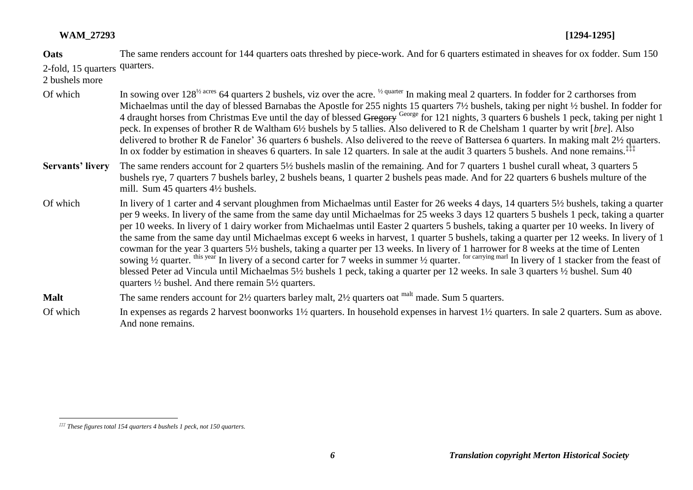**Oats**  2-fold, 15 quarters quarters. The same renders account for 144 quarters oats threshed by piece-work. And for 6 quarters estimated in sheaves for ox fodder. Sum 150

2 bushels more

- Of which In sowing over  $128^{1/2}$  acres 64 quarters 2 bushels, viz over the acre. <sup>1/2 quarter</sup> In making meal 2 quarters. In fodder for 2 carthorses from Michaelmas until the day of blessed Barnabas the Apostle for 255 nights 15 quarters 7½ bushels, taking per night ½ bushel. In fodder for 4 draught horses from Christmas Eve until the day of blessed Gregory George for 121 nights, 3 quarters 6 bushels 1 peck, taking per night 1 peck. In expenses of brother R de Waltham 6½ bushels by 5 tallies. Also delivered to R de Chelsham 1 quarter by writ [*bre*]. Also delivered to brother R de Fanelor' 36 quarters 6 bushels. Also delivered to the reeve of Battersea 6 quarters. In making malt 2½ quarters. In ox fodder by estimation in sheaves 6 quarters. In sale 12 quarters. In sale at the audit 3 quarters 5 bushels. And none remains.<sup>‡‡‡</sup>
- **Servants' livery** The same renders account for 2 quarters 5½ bushels maslin of the remaining. And for 7 quarters 1 bushel curall wheat, 3 quarters 5 bushels rye, 7 quarters 7 bushels barley, 2 bushels beans, 1 quarter 2 bushels peas made. And for 22 quarters 6 bushels multure of the mill. Sum 45 quarters 4½ bushels.
- Of which In livery of 1 carter and 4 servant ploughmen from Michaelmas until Easter for 26 weeks 4 days, 14 quarters 5½ bushels, taking a quarter per 9 weeks. In livery of the same from the same day until Michaelmas for 25 weeks 3 days 12 quarters 5 bushels 1 peck, taking a quarter per 10 weeks. In livery of 1 dairy worker from Michaelmas until Easter 2 quarters 5 bushels, taking a quarter per 10 weeks. In livery of the same from the same day until Michaelmas except 6 weeks in harvest, 1 quarter 5 bushels, taking a quarter per 12 weeks. In livery of 1 cowman for the year 3 quarters 5½ bushels, taking a quarter per 13 weeks. In livery of 1 harrower for 8 weeks at the time of Lenten sowing 1/2 quarter. this year In livery of a second carter for 7 weeks in summer 1/2 quarter. for carrying marl In livery of 1 stacker from the feast of blessed Peter ad Vincula until Michaelmas 5½ bushels 1 peck, taking a quarter per 12 weeks. In sale 3 quarters ½ bushel. Sum 40 quarters ½ bushel. And there remain 5½ quarters.

**Malt** The same renders account for 2<sup>1</sup>/<sub>2</sub> quarters barley malt, 2<sup>1</sup>/<sub>2</sub> quarters oat <sup>malt</sup> made. Sum 5 quarters.

Of which In expenses as regards 2 harvest boonworks 1½ quarters. In household expenses in harvest 1½ quarters. In sale 2 quarters. Sum as above. And none remains.

 $\overline{a}$ *‡‡‡ These figures total 154 quarters 4 bushels 1 peck, not 150 quarters.*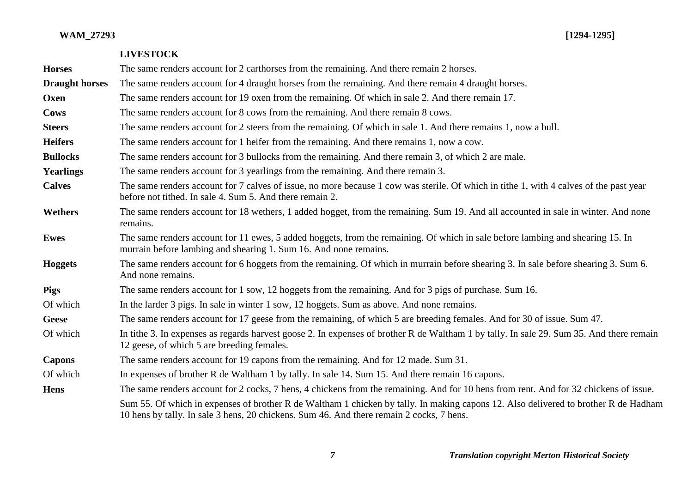|                       | <b>LIVESTOCK</b>                                                                                                                                                                                                                |
|-----------------------|---------------------------------------------------------------------------------------------------------------------------------------------------------------------------------------------------------------------------------|
| <b>Horses</b>         | The same renders account for 2 carthorses from the remaining. And there remain 2 horses.                                                                                                                                        |
| <b>Draught horses</b> | The same renders account for 4 draught horses from the remaining. And there remain 4 draught horses.                                                                                                                            |
| Oxen                  | The same renders account for 19 oxen from the remaining. Of which in sale 2. And there remain 17.                                                                                                                               |
| Cows                  | The same renders account for 8 cows from the remaining. And there remain 8 cows.                                                                                                                                                |
| <b>Steers</b>         | The same renders account for 2 steers from the remaining. Of which in sale 1. And there remains 1, now a bull.                                                                                                                  |
| <b>Heifers</b>        | The same renders account for 1 heifer from the remaining. And there remains 1, now a cow.                                                                                                                                       |
| <b>Bullocks</b>       | The same renders account for 3 bullocks from the remaining. And there remain 3, of which 2 are male.                                                                                                                            |
| <b>Yearlings</b>      | The same renders account for 3 yearlings from the remaining. And there remain 3.                                                                                                                                                |
| <b>Calves</b>         | The same renders account for 7 calves of issue, no more because 1 cow was sterile. Of which in tithe 1, with 4 calves of the past year<br>before not tithed. In sale 4. Sum 5. And there remain 2.                              |
| <b>Wethers</b>        | The same renders account for 18 wethers, 1 added hogget, from the remaining. Sum 19. And all accounted in sale in winter. And none<br>remains.                                                                                  |
| <b>Ewes</b>           | The same renders account for 11 ewes, 5 added hoggets, from the remaining. Of which in sale before lambing and shearing 15. In<br>murrain before lambing and shearing 1. Sum 16. And none remains.                              |
| <b>Hoggets</b>        | The same renders account for 6 hoggets from the remaining. Of which in murrain before shearing 3. In sale before shearing 3. Sum 6.<br>And none remains.                                                                        |
| <b>Pigs</b>           | The same renders account for 1 sow, 12 hoggets from the remaining. And for 3 pigs of purchase. Sum 16.                                                                                                                          |
| Of which              | In the larder 3 pigs. In sale in winter 1 sow, 12 hoggets. Sum as above. And none remains.                                                                                                                                      |
| <b>Geese</b>          | The same renders account for 17 geese from the remaining, of which 5 are breeding females. And for 30 of issue. Sum 47.                                                                                                         |
| Of which              | In tithe 3. In expenses as regards harvest goose 2. In expenses of brother R de Waltham 1 by tally. In sale 29. Sum 35. And there remain<br>12 geese, of which 5 are breeding females.                                          |
| <b>Capons</b>         | The same renders account for 19 capons from the remaining. And for 12 made. Sum 31.                                                                                                                                             |
| Of which              | In expenses of brother R de Waltham 1 by tally. In sale 14. Sum 15. And there remain 16 capons.                                                                                                                                 |
| <b>Hens</b>           | The same renders account for 2 cocks, 7 hens, 4 chickens from the remaining. And for 10 hens from rent. And for 32 chickens of issue.                                                                                           |
|                       | Sum 55. Of which in expenses of brother R de Waltham 1 chicken by tally. In making capons 12. Also delivered to brother R de Hadham<br>10 hens by tally. In sale 3 hens, 20 chickens. Sum 46. And there remain 2 cocks, 7 hens. |